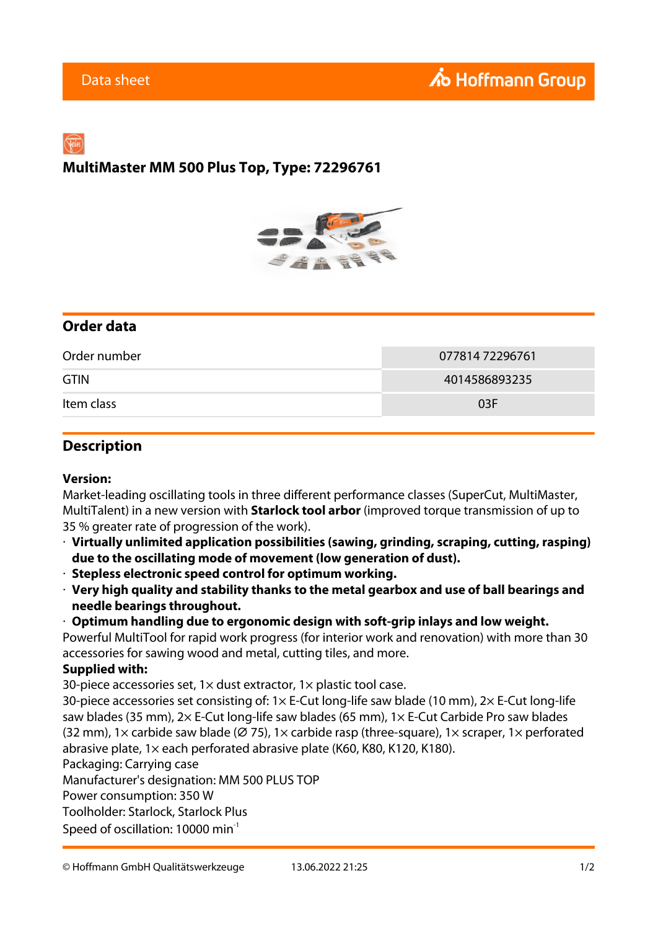# **MultiMaster MM 500 Plus Top, Type: 72296761**



## **Order data**

| Order number | 077814 72296761 |
|--------------|-----------------|
| <b>GTIN</b>  | 4014586893235   |
| Item class   | 03F             |

### **Description**

#### **Version:**

Market-leading oscillating tools in three different performance classes (SuperCut, MultiMaster, MultiTalent) in a new version with **Starlock tool arbor** (improved torque transmission of up to 35 % greater rate of progression of the work).

- · **Virtually unlimited application possibilities (sawing, grinding, scraping, cutting, rasping) due to the oscillating mode of movement (low generation of dust).**
- · **Stepless electronic speed control for optimum working.**
- · **Very high quality and stability thanks to the metal gearbox and use of ball bearings and needle bearings throughout.**
- · **Optimum handling due to ergonomic design with soft-grip inlays and low weight.**

Powerful MultiTool for rapid work progress (for interior work and renovation) with more than 30 accessories for sawing wood and metal, cutting tiles, and more.

#### **Supplied with:**

30-piece accessories set,  $1 \times$  dust extractor,  $1 \times$  plastic tool case.

30-piece accessories set consisting of: 1× E-Cut long-life saw blade (10 mm), 2× E-Cut long-life saw blades (35 mm), 2× E-Cut long-life saw blades (65 mm), 1× E-Cut Carbide Pro saw blades (32 mm), 1 $\times$  carbide saw blade ( $\varnothing$  75), 1 $\times$  carbide rasp (three-square), 1 $\times$  scraper, 1 $\times$  perforated abrasive plate, 1× each perforated abrasive plate (K60, K80, K120, K180).

Packaging: Carrying case

Manufacturer's designation: MM 500 PLUS TOP

Power consumption: 350 W

Toolholder: Starlock, Starlock Plus

Speed of oscillation: 10000 min<sup>-1</sup>